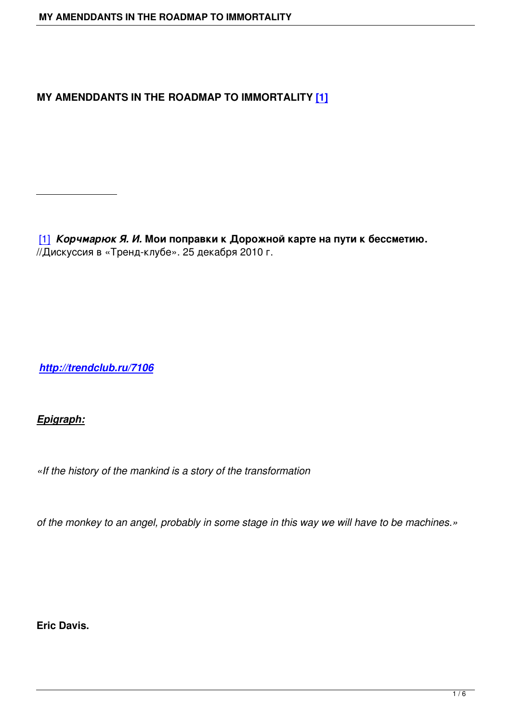### **MY AMENDDANTS IN THE ROADMAP TO IMMORTALITY [1]**

[1] *Корчмарюк Я. И.* **Мои поправки к Дорожной карте на пути к бессметию.** //Дискуссия в «Тренд-клубе». 25 декабря 2010 г.

*http://trendclub.ru/7106*

## *[Epigraph:](http://trendclub.ru/7106)*

*«If the history of the mankind is a story of the transformation* 

*of the monkey to an angel, probably in some stage in this way we will have to be machines.»*

**Eric Davis.**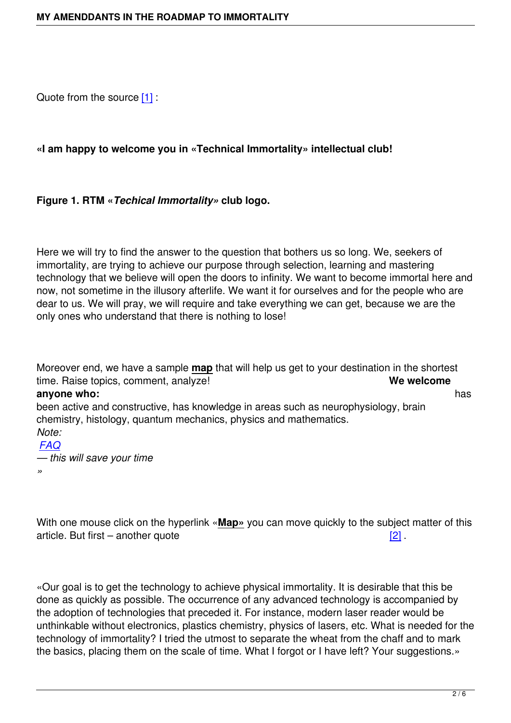Quote from the source [1] :

#### **«I am happy to welco[me](#_ftn1) you in «Technical Immortality» intellectual club!**

#### **Figure 1. RTM «***Techical Immortality»* **club logo.**

Here we will try to find the answer to the question that bothers us so long. We, seekers of immortality, are trying to achieve our purpose through selection, learning and mastering technology that we believe will open the doors to infinity. We want to become immortal here and now, not sometime in the illusory afterlife. We want it for ourselves and for the people who are dear to us. We will pray, we will require and take everything we can get, because we are the only ones who understand that there is nothing to lose!

Moreover end, we have a sample **map** that will help us get to your destination in the shortest time. Raise topics, comment, analyze! **We welcome anyone who:** has been active and constructive, has knowledge in areas such as neurophysiology, brain chemistry, histology, quantum mechanics, physics and mathematics. *Note: FAQ*

*— this will save your time »*

With one mouse click on the hyperlink «**Map»** you can move quickly to the subject matter of this article. But first – another quote  $[2]$ .

«Our goal is to get the technology to achieve physical immortality. It is desira[ble](#_ftn2) that this be done as quickly as possible. The occurrence of any advanced technology is accompanied by the adoption of technologies that preceded it. For instance, modern laser reader would be unthinkable without electronics, plastics chemistry, physics of lasers, etc. What is needed for the technology of immortality? I tried the utmost to separate the wheat from the chaff and to mark the basics, placing them on the scale of time. What I forgot or I have left? Your suggestions.»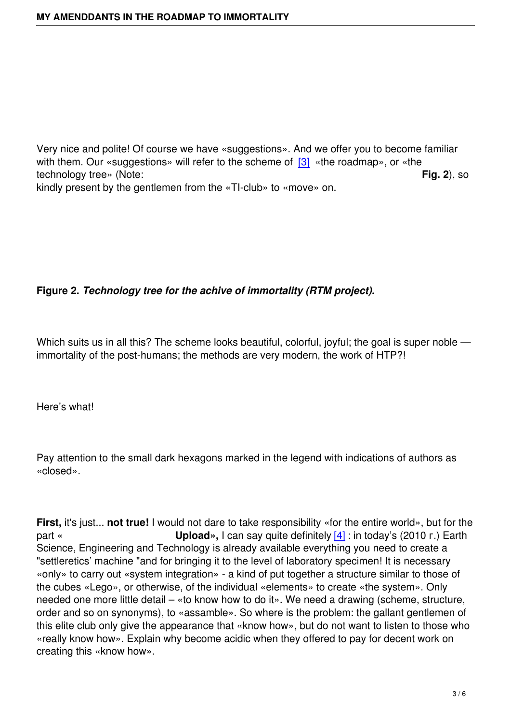Very nice and polite! Of course we have «suggestions». And we offer you to become familiar with them. Our «suggestions» will refer to the scheme of  $[3]$  «the roadmap», or «the technology tree» (Note: **Fig. 2**), so kindly present by the gentlemen from the «TI-club» to «move» on.

# **Figure 2.** *Technology tree for the achive of immortality (RTM project).*

Which suits us in all this? The scheme looks beautiful, colorful, joyful; the goal is super noble immortality of the post-humans; the methods are very modern, the work of НТР?!

Here's what!

Pay attention to the small dark hexagons marked in the legend with indications of authors as «closed».

**First,** it's just... **not true!** I would not dare to take responsibility «for the entire world», but for the part « **Upload»,** I can say quite definitely [4] : in today's (2010 г.) Earth Science, Engineering and Technology is already available everything you need to create a "settleretics' machine "and for bringing it to the level of laboratory specimen! It is necessary «only» to carry out «system integration» - a kind of put together a [str](#_ftn4)ucture similar to those of the cubes «Lego», or otherwise, of the individual «elements» to create «the system». Only needed one more little detail – «to know how to do it». We need a drawing (scheme, structure, order and so on synonyms), to «assamble». So where is the problem: the gallant gentlemen of this elite club only give the appearance that «know how», but do not want to listen to those who «really know how». Explain why become acidic when they offered to pay for decent work on creating this «know how».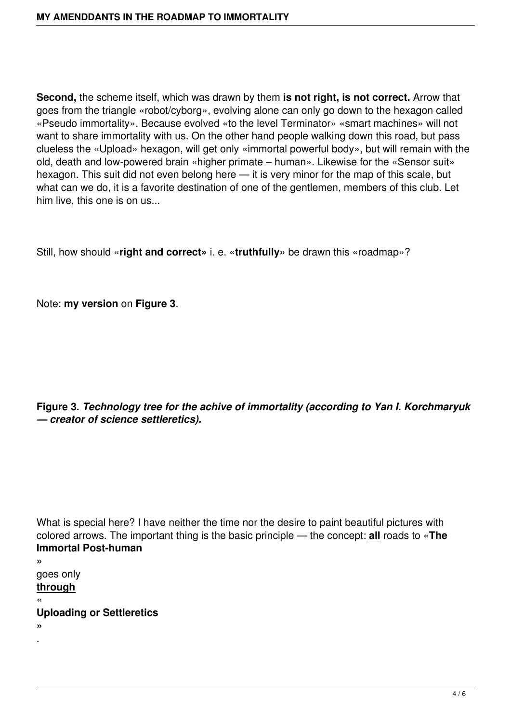**Second,** the scheme itself, which was drawn by them **is not right, is not correct.** Arrow that goes from the triangle «robot/cyborg», evolving alone can only go down to the hexagon called «Pseudo immortality». Because evolved «to the level Terminator» «smart machines» will not want to share immortality with us. On the other hand people walking down this road, but pass clueless the «Upload» hexagon, will get only «immortal powerful body», but will remain with the old, death and low-powered brain «higher primate – human». Likewise for the «Sensor suit» hexagon. This suit did not even belong here — it is very minor for the map of this scale, but what can we do, it is a favorite destination of one of the gentlemen, members of this club. Let him live, this one is on us...

Still, how should «**right and correct»** i. e. «**truthfully»** be drawn this «roadmap»?

Note: **my version** on **Figure 3**.

**Figure 3.** *Technology tree for the achive of immortality (according to Yan I. Korchmaryuk — creator of science settleretics).*

What is special here? I have neither the time nor the desire to paint beautiful pictures with colored arrows. The important thing is the basic principle — the concept: **all** roads to «**The Immortal Post-human**

**»** goes only **through**

« **Uploading or Settleretics**

**»** .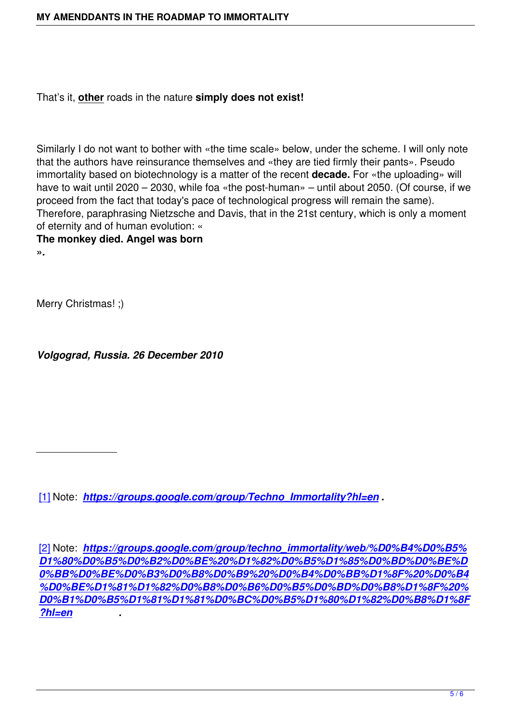Similarly I do not want to bother with «the time scale» below, under the scheme. I will only note that the authors have reinsurance themselves and «they are tied firmly their pants». Pseudo immortality based on biotechnology is a matter of the recent **decade.** For «the uploading» will have to wait until 2020 – 2030, while foa «the post-human» – until about 2050. (Of course, if we proceed from the fact that today's pace of technological progress will remain the same). Therefore, paraphrasing Nietzsche and Davis, that in the 21st century, which is only a moment of eternity and of human evolution: «

**The monkey died. Angel was born**

**».**

Merry Christmas! ;)

*Volgograd, Russia. 26 December 2010*

[1] Note: *https://groups.google.com/group/Techno\_Immortality?hl=en .*

[\[2\]](#_ftnref1) Note: *[https://groups.google.com/group/techno\\_immortality/web/%D](https://groups.google.com/group/Techno_Immortality?hl=en.)0%B4%D0%B5% D1%80%D0%B5%D0%B2%D0%BE%20%D1%82%D0%B5%D1%85%D0%BD%D0%BE%D 0%BB%D0%BE%D0%B3%D0%B8%D0%B9%20%D0%B4%D0%BB%D1%8F%20%D0%B4 [%D](#_ftnref2)0%B[E%D1%81%D1%82%D0%B8%D0%B6%D0%B5%D0%BD%D0%B8%D1%8F%20%](https://groups.google.com/group/techno_immortality/web/дерево%20технологий%20для%20достижения%20бессмертия?hl=en) [D0%B1%D0%B5%D1%81%D1%81%D0%BC%D0%B5%D1%80%D1%82%D0%B8%D1%8F](https://groups.google.com/group/techno_immortality/web/дерево%20технологий%20для%20достижения%20бессмертия?hl=en) [?hl=en](https://groups.google.com/group/techno_immortality/web/дерево%20технологий%20для%20достижения%20бессмертия?hl=en) .*